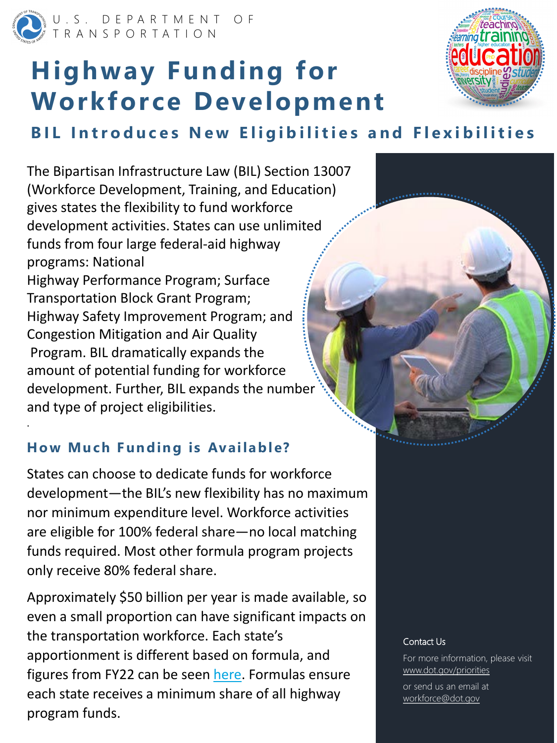U.S. DEPARTMENT OF TRANSPORTATION

# **Highway Funding for Workforce Development**



The Bipartisan Infrastructure Law (BIL) Section 13007 (Workforce Development, Training, and Education) gives states the flexibility to fund workforce development activities. States can use unlimited funds from four large federal-aid highway programs: National Highway Performance Program; Surface Transportation Block Grant Program; Highway Safety Improvement Program; and Congestion Mitigation and Air Quality Program. BIL dramatically expands the amount of potential funding for workforce development. Further, BIL expands the number and type of project eligibilities.



.

#### Contact Us

For more information, please visit www.dot.gov/priorities

or send us an email at workforce@dot.gov

# **BIL Introduces New Eligibilities and Flexibilities**

### **How Much Funding is Available?**

States can choose to dedicate funds for workforce development—the BIL's new flexibility has no maximum nor minimum expenditure level. Workforce activities are eligible for 100% federal share—no local matching funds required. Most other formula program projects only receive 80% federal share.

Approximately \$50 billion per year is made available, so even a small proportion can have significant impacts on the transportation workforce. Each state's apportionment is different based on formula, and figures from FY22 can be seen [here](https://www.fhwa.dot.gov/bipartisan-infrastructure-law/comptables/fy2022comp.pdf). Formulas ensure each state receives a minimum share of all highway program funds.